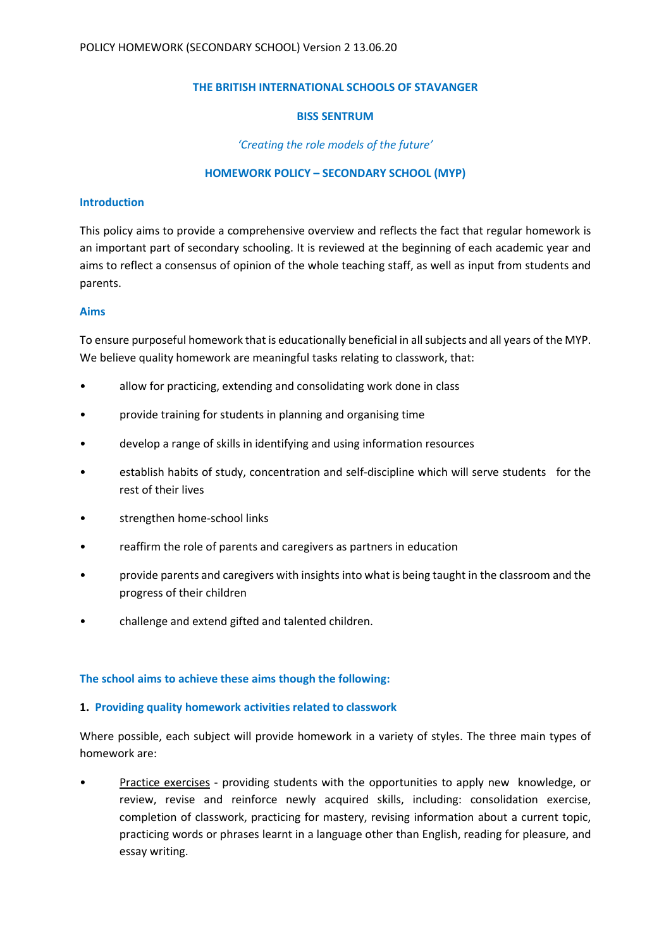#### THE BRITISH INTERNATIONAL SCHOOLS OF STAVANGER

#### BISS SENTRUM

# 'Creating the role models of the future'

# HOMEWORK POLICY – SECONDARY SCHOOL (MYP)

#### Introduction

This policy aims to provide a comprehensive overview and reflects the fact that regular homework is an important part of secondary schooling. It is reviewed at the beginning of each academic year and aims to reflect a consensus of opinion of the whole teaching staff, as well as input from students and parents.

#### Aims

To ensure purposeful homework that is educationally beneficial in all subjects and all years of the MYP. We believe quality homework are meaningful tasks relating to classwork, that:

- allow for practicing, extending and consolidating work done in class
- provide training for students in planning and organising time
- develop a range of skills in identifying and using information resources
- establish habits of study, concentration and self-discipline which will serve students for the rest of their lives
- strengthen home-school links
- reaffirm the role of parents and caregivers as partners in education
- provide parents and caregivers with insights into what is being taught in the classroom and the progress of their children
- challenge and extend gifted and talented children.

# The school aims to achieve these aims though the following:

# 1. Providing quality homework activities related to classwork

Where possible, each subject will provide homework in a variety of styles. The three main types of homework are:

• Practice exercises - providing students with the opportunities to apply new knowledge, or review, revise and reinforce newly acquired skills, including: consolidation exercise, completion of classwork, practicing for mastery, revising information about a current topic, practicing words or phrases learnt in a language other than English, reading for pleasure, and essay writing.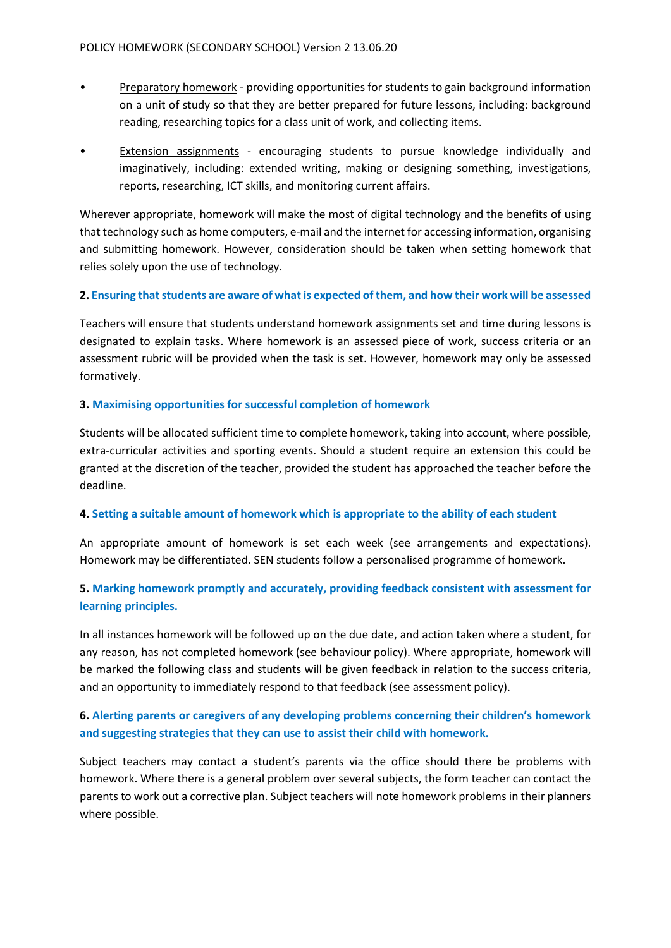- Preparatory homework providing opportunities for students to gain background information on a unit of study so that they are better prepared for future lessons, including: background reading, researching topics for a class unit of work, and collecting items.
- **Extension assignments** encouraging students to pursue knowledge individually and imaginatively, including: extended writing, making or designing something, investigations, reports, researching, ICT skills, and monitoring current affairs.

Wherever appropriate, homework will make the most of digital technology and the benefits of using that technology such as home computers, e-mail and the internet for accessing information, organising and submitting homework. However, consideration should be taken when setting homework that relies solely upon the use of technology.

# 2. Ensuring that students are aware of what is expected of them, and how their work will be assessed

Teachers will ensure that students understand homework assignments set and time during lessons is designated to explain tasks. Where homework is an assessed piece of work, success criteria or an assessment rubric will be provided when the task is set. However, homework may only be assessed formatively.

# 3. Maximising opportunities for successful completion of homework

Students will be allocated sufficient time to complete homework, taking into account, where possible, extra-curricular activities and sporting events. Should a student require an extension this could be granted at the discretion of the teacher, provided the student has approached the teacher before the deadline.

# 4. Setting a suitable amount of homework which is appropriate to the ability of each student

An appropriate amount of homework is set each week (see arrangements and expectations). Homework may be differentiated. SEN students follow a personalised programme of homework.

# 5. Marking homework promptly and accurately, providing feedback consistent with assessment for learning principles.

In all instances homework will be followed up on the due date, and action taken where a student, for any reason, has not completed homework (see behaviour policy). Where appropriate, homework will be marked the following class and students will be given feedback in relation to the success criteria, and an opportunity to immediately respond to that feedback (see assessment policy).

# 6. Alerting parents or caregivers of any developing problems concerning their children's homework and suggesting strategies that they can use to assist their child with homework.

Subject teachers may contact a student's parents via the office should there be problems with homework. Where there is a general problem over several subjects, the form teacher can contact the parents to work out a corrective plan. Subject teachers will note homework problems in their planners where possible.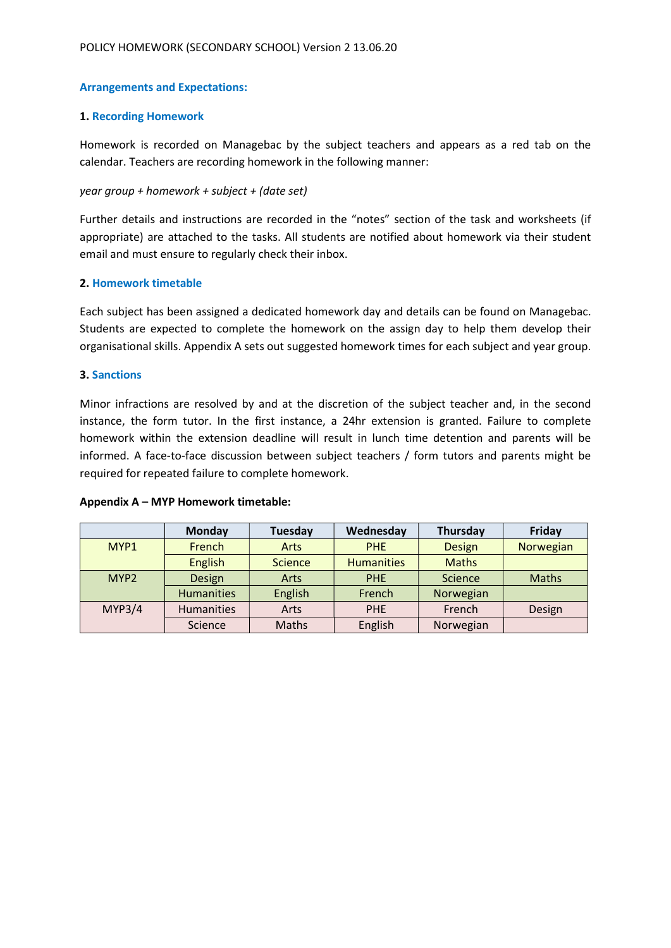# Arrangements and Expectations:

#### 1. Recording Homework

Homework is recorded on Managebac by the subject teachers and appears as a red tab on the calendar. Teachers are recording homework in the following manner:

#### year group + homework + subject + (date set)

Further details and instructions are recorded in the "notes" section of the task and worksheets (if appropriate) are attached to the tasks. All students are notified about homework via their student email and must ensure to regularly check their inbox.

#### 2. Homework timetable

Each subject has been assigned a dedicated homework day and details can be found on Managebac. Students are expected to complete the homework on the assign day to help them develop their organisational skills. Appendix A sets out suggested homework times for each subject and year group.

#### 3. Sanctions

Minor infractions are resolved by and at the discretion of the subject teacher and, in the second instance, the form tutor. In the first instance, a 24hr extension is granted. Failure to complete homework within the extension deadline will result in lunch time detention and parents will be informed. A face-to-face discussion between subject teachers / form tutors and parents might be required for repeated failure to complete homework.

#### Appendix A – MYP Homework timetable:

|                  | <b>Monday</b>     | <b>Tuesday</b> | Wednesday         | Thursday      | Friday       |
|------------------|-------------------|----------------|-------------------|---------------|--------------|
| MYP1             | French            | Arts           | <b>PHE</b>        | <b>Design</b> | Norwegian    |
|                  | <b>English</b>    | <b>Science</b> | <b>Humanities</b> | <b>Maths</b>  |              |
| MYP <sub>2</sub> | Design            | Arts           | <b>PHE</b>        | Science       | <b>Maths</b> |
|                  | <b>Humanities</b> | <b>English</b> | French            | Norwegian     |              |
| <b>MYP3/4</b>    | <b>Humanities</b> | Arts           | <b>PHE</b>        | French        | Design       |
|                  | Science           | Maths          | English           | Norwegian     |              |